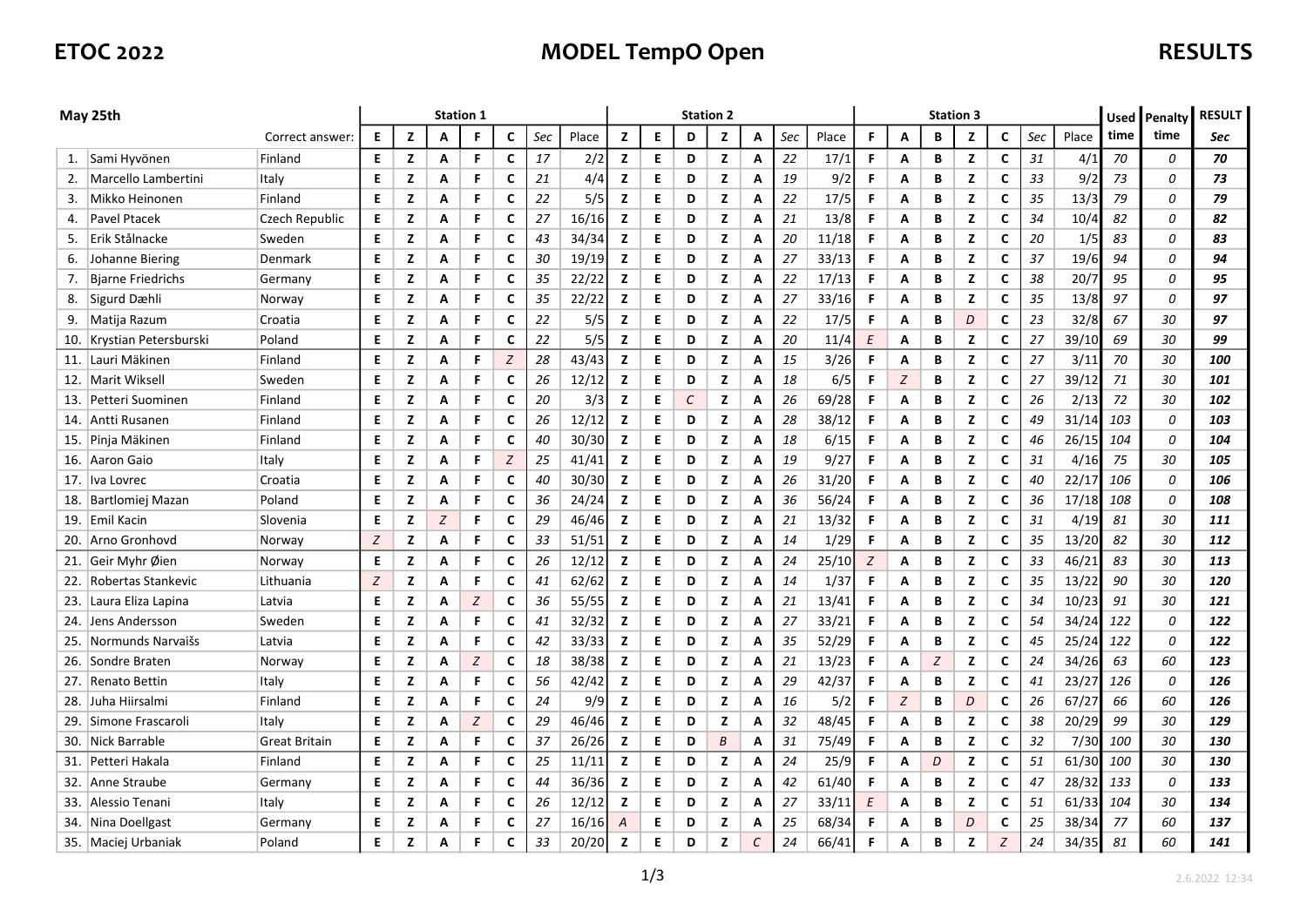# ETOC 2022 **MODEL TempO Open** RESULTS

| May 25th |                           |                | <b>Station 1</b> |   |   |   |                  |     |       |                  | <b>Station 2</b> |   |   |   |     |       |          |   | <b>Station 3</b> |   |   | Used | Penalty | <b>RESULT</b> |      |            |
|----------|---------------------------|----------------|------------------|---|---|---|------------------|-----|-------|------------------|------------------|---|---|---|-----|-------|----------|---|------------------|---|---|------|---------|---------------|------|------------|
|          |                           | Correct answer | Е                | z | Α | F | C                | Sec | Place | z                | Е                | D | z | А | Sec | Place | F        | A | В                | z | C | Sec  | Place   | time          | time | <b>Sec</b> |
|          | 1. Sami Hyvönen           | Finland        | E.               | z | Α | F | C                | 17  | 2/2   | z                | E.               | D | z | А | 22  | 17/1  | F.       | Α | В                | z | C | 31   | 4/1     | 70            | 0    | 70         |
| 2.       | Marcello Lambertini       | Italy          | Е                | z | А | F | C                | 21  | 4/4   | z                | Е                | D | z | А | 19  | 9/2   | F        | Α | В                | z | C | 33   | 9/2     | 73            | 0    | 73         |
| 3.       | Mikko Heinonen            | Finland        | Е                | z | Α | F | C                | 22  | 5/5   | z                | Е                | D | z | А | 22  | 17/5  | F.       | Α | В                | z | C | 35   | 13/3    | 79            | 0    | 79         |
| 4.       | <b>Pavel Ptacek</b>       | Czech Republic | E.               | z | Α | F | C                | 27  | 16/16 | z                | E                | D | z | А | 21  | 13/8  | F        | Α | В                | z | C | 34   | 10/4    | 82            | 0    | 82         |
| 5.       | Erik Stålnacke            | Sweden         | Е                | z | Α | F | C                | 43  | 34/34 | z                | Е                | D | z | А | 20  | 11/18 | F.       | Α | В                | z | C | 20   | 1/5     | 83            | 0    | 83         |
| 6.       | Johanne Biering           | Denmark        | E                | z | Α | F | C                | 30  | 19/19 | z                | E.               | D | z | А | 27  | 33/13 | F.       | Α | В                | z | C | 37   | 19/6    | 94            | 0    | 94         |
| 7.       | <b>Bjarne Friedrichs</b>  | Germany        | Е                | z | Α | F | C                | 35  | 22/22 | z                | Е                | D | z | А | 22  | 17/13 | F        | Α | В                | z | C | 38   | 20/7    | 95            | 0    | 95         |
| 8.       | Sigurd Dæhli              | Norway         | Е                | z | Α | F | C                | 35  | 22/22 | z                | Е                | D | z | А | 27  | 33/16 | F.       | Α | В                | z | C | 35   | 13/8    | 97            | 0    | 97         |
| 9.       | Matija Razum              | Croatia        | Е                | z | Α | F | C                | 22  | 5/5   | z                | Е                | D | z | А | 22  | 17/5  | F        | Α | В                | D | C | 23   | 32/8    | 67            | 30   | 97         |
|          | 10. Krystian Petersburski | Poland         | E                | z | A | F | C                | 22  | 5/5   | z                | E.               | D | z | А | 20  | 11/4  | E        | A | В                | z | C | 27   | 39/10   | 69            | 30   | 99         |
|          | 11. Lauri Mäkinen         | Finland        | Е                | z | Α | F | $\boldsymbol{Z}$ | 28  | 43/43 | z                | E                | D | z | А | 15  | 3/26  | F.       | Α | В                | z | C | 27   | 3/11    | 70            | 30   | 100        |
|          | 12.   Marit Wiksell       | Sweden         | Е                | z | Α | F | C                | 26  | 12/12 | z                | E.               | D | z | А | 18  | 6/5   | F.       | Z | В                | z | C | 27   | 39/12   | 71            | 30   | 101        |
| 13.      | Petteri Suominen          | Finland        | E                | z | Α | F | C                | 20  | 3/3   | z                | E.               | С | z | Α | 26  | 69/28 | F.       | A | В                | z | C | 26   | 2/13    | 72            | 30   | 102        |
| 14.      | Antti Rusanen             | Finland        | Е                | z | А | F | C                | 26  | 12/12 | z                | E.               | D | z | А | 28  | 38/12 | F.       | Α | В                | z | С | 49   | 31/14   | 103           | 0    | 103        |
| 15.      | Pinja Mäkinen             | Finland        | Е                | z | А | F | C                | 40  | 30/30 | z                | E.               | D | z | А | 18  | 6/15  | F.       | Α | В                | z | C | 46   | 26/15   | 104           | 0    | 104        |
| 16.      | Aaron Gaio                | Italy          | Е                | z | Α | F | Z                | 25  | 41/41 | z                | E.               | D | z | А | 19  | 9/27  | F.       | Α | В                | z | С | 31   | 4/16    | 75            | 30   | 105        |
| 17.      | Iva Lovrec                | Croatia        | E                | z | Α | F | C                | 40  | 30/30 | z                | E                | D | z | А | 26  | 31/20 | F.       | A | В                | z | C | 40   | 22/17   | 106           | 0    | 106        |
|          | 18. Bartlomiej Mazan      | Poland         | Е                | z | А | F | C                | 36  | 24/24 | z                | E.               | D | z | А | 36  | 56/24 | F        | Α | В                | z | С | 36   | 17/18   | 108           | 0    | 108        |
|          | 19. Emil Kacin            | Slovenia       | E                | z | Z | F | C                | 29  | 46/46 | z                | E                | D | z | А | 21  | 13/32 | F.       | A | В                | z | C | 31   | 4/19    | 81            | 30   | 111        |
|          | 20. Arno Gronhovd         | Norway         | Z                | z | А | F | C                | 33  | 51/51 | z                | E                | D | z | А | 14  | 1/29  | F        | Α | В                | z | C | 35   | 13/20   | 82            | 30   | 112        |
| 21.      | Geir Myhr Øien            | Norway         | E                | z | А | F | C                | 26  | 12/12 | z                | E                | D | z | А | 24  | 25/10 | Z        | A | В                | z | C | 33   | 46/21   | 83            | 30   | 113        |
| 22.      | Robertas Stankevic        | Lithuania      | Z                | z | А | F | C                | 41  | 62/62 | z                | E                | D | z | А | 14  | 1/37  | F        | Α | В                | z | C | 35   | 13/22   | 90            | 30   | 120        |
|          | 23. Laura Eliza Lapina    | Latvia         | Е                | z | А | Z | c                | 36  | 55/55 | z                | E                | D | z | А | 21  | 13/41 | F.       | А | В                | z | C | 34   | 10/23   | 91            | 30   | 121        |
| 24.      | Jens Andersson            | Sweden         | Е                | z | Α | F | C                | 41  | 32/32 | z                | E                | D | z | А | 27  | 33/21 | F        | Α | В                | z | C | 54   | 34/24   | 122           | 0    | 122        |
| 25.      | Normunds Narvaišs         | Latvia         | E                | z | А | F | C                | 42  | 33/33 | z                | E                | D | z | А | 35  | 52/29 | F.       | Α | В                | z | C | 45   | 25/24   | 122           | 0    | 122        |
| 26.      | Sondre Braten             | Norway         | Е                | z | Α | Z | c                | 18  | 38/38 | z                | E                | D | z | А | 21  | 13/23 | F.       | Α | Ζ                | z | C | 24   | 34/26   | 63            | 60   | 123        |
| 27.      | Renato Bettin             | Italy          | E                | z | А | F | C                | 56  | 42/42 | z                | E                | D | z | А | 29  | 42/37 | F.       | Α | В                | z | C | 41   | 23/27   | 126           | 0    | 126        |
| 28.      | Juha Hiirsalmi            | Finland        | E                | z | А | F | C                | 24  | 9/9   | z                | E.               | D | z | А | 16  | 5/2   | F.       | Z | В                | D | C | 26   | 67/27   | 66            | 60   | 126        |
| 29.      | Simone Frascaroli         | Italy          | Е                | z | А | Z | c                | 29  | 46/46 | z                | E.               | D | z | А | 32  | 48/45 | F.       | Α | В                | z | C | 38   | 20/29   | 99            | 30   | 129        |
|          | 30. Nick Barrable         | Great Britain  | E                | z | Α | F | C                | 37  | 26/26 | z                | E                | D | B | Α | 31  | 75/49 | F.       | Α | В                | z | C | 32   | 7/30    | 100           | 30   | 130        |
| 31.      | Petteri Hakala            | Finland        | Е                | z | А | F | C                | 25  | 11/11 | z                | E.               | D | z | А | 24  | 25/9  | F        | Α | D                | z | C | 51   | 61/30   | <i>100</i>    | 30   | 130        |
| 32.      | Anne Straube              | Germany        | E                | z | А | F | C                | 44  | 36/36 | z                | E.               | D | z | А | 42  | 61/40 | F.       | Α | В                | z | C | 47   | 28/32   | 133           | 0    | 133        |
| 33.      | Alessio Tenani            | Italy          | Е                | z | Α | F | C                | 26  | 12/12 | z                | E.               | D | z | А | 27  | 33/11 | $\cal E$ | Α | В                | z | C | 51   | 61/33   | 104           | 30   | 134        |
|          | 34. Nina Doellgast        | Germany        | Е                | z | А | F | C                | 27  | 16/16 | $\boldsymbol{A}$ | Е                | D | z | А | 25  | 68/34 | F        | А | В                | D | C | 25   | 38/34   | -77           | 60   | 137        |
|          | 35.   Maciej Urbaniak     | Poland         | E                | z | А | F | C                | 33  | 20/20 | z                | E                | D | z | С | 24  | 66/41 | F        | А | В                | z | Z | 24   | 34/35   | 81            | 60   | 141        |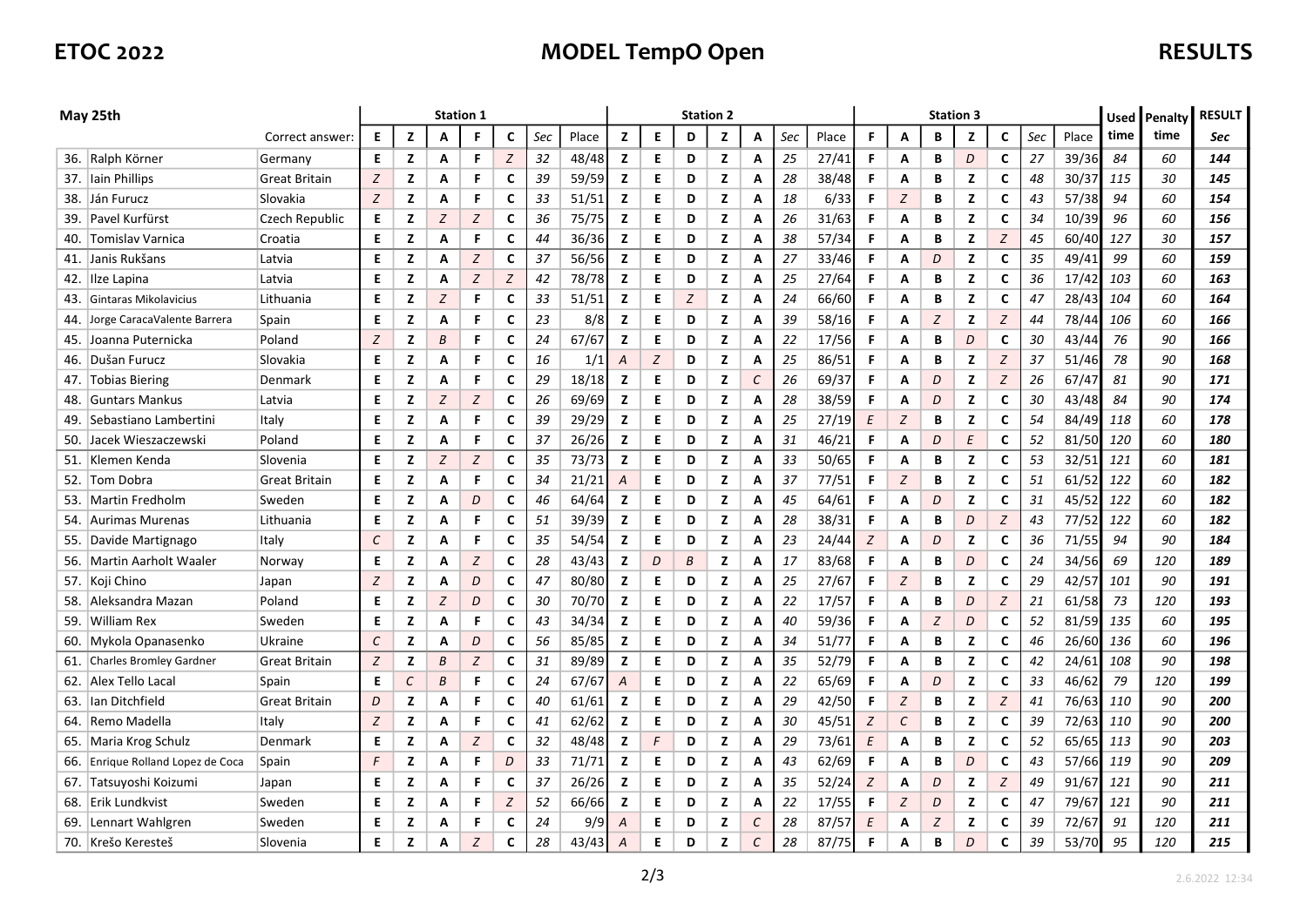# ETOC 2022 **MODEL TempO Open** RESULTS

| May 25th |                                |                      | <b>Station 1</b> |          |                  |   |   |     |       |   | <b>Station 2</b> |   |   |   |     |       |    |                   | <b>Station 3</b> |                |                  | Used | Penalty | <b>RESULT</b> |      |     |
|----------|--------------------------------|----------------------|------------------|----------|------------------|---|---|-----|-------|---|------------------|---|---|---|-----|-------|----|-------------------|------------------|----------------|------------------|------|---------|---------------|------|-----|
|          |                                | Correct answer:      | Е                | z        | A                | F | C | Sec | Place | z | Е                | D | z | А | Sec | Place | F  | A                 | В                | z              | C                | Sec  | Place   | time          | time | Sec |
|          | 36. Ralph Körner               | Germany              | Е                | z        | Α                | F | Z | 32  | 48/48 | z | E.               | D | z | А | 25  | 27/41 | F. | Α                 | В                | D              | C                | 27   | 39/36   | 84            | 60   | 144 |
|          | 37. Iain Phillips              | Great Britain        | Z                | z        | Α                | F | C | 39  | 59/59 | z | Е                | D | z | А | 28  | 38/48 | F. | Α                 | В                | z              | C                | 48   | 30/37   | 115           | 30   | 145 |
|          | 38. Ján Furucz                 | Slovakia             | Z                | z        | А                | F | C | 33  | 51/51 | z | E.               | D | z | А | 18  | 6/33  | F. | Z                 | В                | z              | C                | 43   | 57/38   | 94            | 60   | 154 |
| 39.      | Pavel Kurfürst                 | Czech Republic       | E.               | z        | Z                | Z | C | 36  | 75/75 | z | Е                | D | z | А | 26  | 31/63 | F. | Α                 | В                | z              | С                | 34   | 10/39   | 96            | 60   | 156 |
| 40.      | Tomislav Varnica               | Croatia              | Е                | z        | А                | F | C | 44  | 36/36 | z | Е                | D | z | А | 38  | 57/34 | F. | A                 | В                | z              | Z                | 45   | 60/40   | 127           | 30   | 157 |
| 41.      | Janis Rukšans                  | Latvia               | E                | z        | A                | Z | C | 37  | 56/56 | z | E                | D | z | А | 27  | 33/46 | F. | A                 | D                | z              | C                | 35   | 49/41   | 99            | 60   | 159 |
| 42.      | Ilze Lapina                    | Latvia               | Е                | z        | А                | Z | Z | 42  | 78/78 | z | E.               | D | z | А | 25  | 27/64 | F. | Α                 | В                | z              | С                | 36   | 17/42   | 103           | 60   | 163 |
| 43.      | Gintaras Mikolavicius          | Lithuania            | Е                | z        | Z                | F | C | 33  | 51/51 | z | E.               | Z | z | А | 24  | 66/60 | F. | A                 | В                | z              | C                | 47   | 28/43   | 104           | 60   | 164 |
| 44.      | Jorge CaracaValente Barrera    | Spain                | Е                | z        | А                | F | C | 23  | 8/8   | z | Е                | D | z | А | 39  | 58/16 | F. | Α                 | Z                | z              | Z                | 44   | 78/44   | 106           | 60   | 166 |
| 45.      | Joanna Puternicka              | Poland               | Z                | z        | B                | F | C | 24  | 67/67 | z | E                | D | z | А | 22  | 17/56 | F. | A                 | В                | D              | C                | 30   | 43/44   | 76            | 90   | 166 |
| 46.      | Dušan Furucz                   | Slovakia             | Е                | z        | Α                | F | C | 16  | 1/1   | A | $\boldsymbol{Z}$ | D | z | А | 25  | 86/51 | F. | Α                 | В                | z              | Z                | 37   | 51/46   | 78            | 90   | 168 |
| 47.      | <b>Tobias Biering</b>          | Denmark              | E                | z        | А                | F | C | 29  | 18/18 | z | E                | D | z | С | 26  | 69/37 | F. | A                 | D                | z              | Z                | 26   | 67/47   | 81            | 90   | 171 |
| 48.      | <b>Guntars Mankus</b>          | Latvia               | Е                | z        | Z                | Z | C | 26  | 69/69 | z | E.               | D | z | А | 28  | 38/59 | F. | А                 | D                | z              | C                | 30   | 43/48   | 84            | 90   | 174 |
| 49.      | Sebastiano Lambertini          | Italy                | E                | z        | А                | F | C | 39  | 29/29 | z | E                | D | z | А | 25  | 27/19 | E  | Z                 | В                | z              | C                | 54   | 84/49   | 118           | 60   | 178 |
| 50.      | Jacek Wieszaczewski            | Poland               | Е                | z        | Α                | F | C | 37  | 26/26 | z | E.               | D | z | А | 31  | 46/21 | F. | Α                 | D                | E              | С                | 52   | 81/50   | 120           | 60   | 180 |
| 51.      | Klemen Kenda                   | Slovenia             | E                | z        | Z                | Z | C | 35  | 73/73 | z | Е                | D | z | А | 33  | 50/65 | F. | A                 | В                | z              | C                | 53   | 32/51   | 121           | 60   | 181 |
| 52.      | Tom Dobra                      | Great Britain        | Е                | z        | А                | F | C | 34  | 21/21 | A | E                | D | z | А | 37  | 77/51 | F. | Z                 | В                | z              | C                | 51   | 61/52   | 122           | 60   | 182 |
| 53.      | Martin Fredholm                | Sweden               | E                | z        | А                | D | C | 46  | 64/64 | z | E                | D | z | А | 45  | 64/61 | F. | А                 | D                | z              | C                | 31   | 45/52   | 122           | 60   | 182 |
| 54.      | <b>Aurimas Murenas</b>         | Lithuania            | E                | z        | А                | F | C | 51  | 39/39 | z | E                | D | z | А | 28  | 38/31 | F. | Α                 | В                | D              | Z                | 43   | 77/52   | 122           | 60   | 182 |
|          | 55. Davide Martignago          | Italy                | C                | z        | А                | F | С | 35  | 54/54 | z | E                | D | z | А | 23  | 24/44 | Z  | Α                 | D                | z              | C                | 36   | 71/55   | 94            | 90   | 184 |
|          | 56.   Martin Aarholt Waaler    | Norway               | Е                | z        | А                | Ζ | c | 28  | 43/43 | z | D                | В | z | А | 17  | 83/68 | F. | А                 | В                | D              | C                | 24   | 34/56   | 69            | 120  | 189 |
|          | 57. Koji Chino                 | Japan                | Z                | z        | А                | D | C | 47  | 80/80 | z | E                | D | z | А | 25  | 27/67 | F. | Z                 | В                | z              | C                | 29   | 42/57   | 101           | 90   | 191 |
| 58.      | Aleksandra Mazan               | Poland               | Е                | z        | $\boldsymbol{Z}$ | D | c | 30  | 70/70 | z | E.               | D | z | А | 22  | 17/57 | F  | А                 | В                | D              | $\boldsymbol{Z}$ | 21   | 61/58   | -73           | 120  | 193 |
| 59.      | William Rex                    | Sweden               | E                | z        | А                | F | C | 43  | 34/34 | z | E                | D | z | А | 40  | 59/36 | F. | Α                 | Z                | D              | C                | 52   | 81/59   | 135           | 60   | 195 |
|          | 60. Mykola Opanasenko          | Ukraine              | $\cal C$         | z        | А                | D | c | 56  | 85/85 | z | E                | D | z | А | 34  | 51/77 | F  | Α                 | В                | z              | $\mathsf{C}$     | 46   | 26/60   | 136           | 60   | 196 |
| 61.      | <b>Charles Bromley Gardner</b> | <b>Great Britain</b> | Ζ                | z        | В                | Z | C | 31  | 89/89 | z | E.               | D | z | А | 35  | 52/79 | F. | Α                 | В                | z              | C                | 42   | 24/61   | 108           | 90   | 198 |
| 62.      | Alex Tello Lacal               | Spain                | Е                | $\cal C$ | B                | F | C | 24  | 67/67 | A | E.               | D | z | А | 22  | 65/69 | F. | Α                 | D                | z              | C                | 33   | 46/62   | 79            | 120  | 199 |
| 63.      | Ian Ditchfield                 | <b>Great Britain</b> | D                | z        | А                | F | C | 40  | 61/61 | z | E.               | D | z | А | 29  | 42/50 | F. | Z                 | В                | z              | Z                | 41   | 76/63   | 110           | 90   | 200 |
| 64.      | Remo Madella                   | Italy                | Z                | z        | А                | F | C | 41  | 62/62 | z | E                | D | z | А | 30  | 45/51 | Z  | $\mathcal{C}_{0}$ | В                | z              | C                | 39   | 72/63   | 110           | 90   | 200 |
|          | 65.   Maria Krog Schulz        | Denmark              | E                | z        | А                | Z | C | 32  | 48/48 | z | F                | D | z | А | 29  | 73/61 | E  | Α                 | В                | z              | C                | 52   | 65/65   | 113           | 90   | 203 |
| 66.      | Enrique Rolland Lopez de Coca  | Spain                | F                | z        | А                | F | D | 33  | 71/71 | z | E                | D | z | А | 43  | 62/69 | F  | А                 | В                | D              | C                | 43   | 57/66   | 119           | 90   | 209 |
|          | 67. Tatsuyoshi Koizumi         | Japan                | Е                | z        | А                | F | C | 37  | 26/26 | z | E.               | D | z | А | 35  | 52/24 | Z  | А                 | D                | z              | Z                | 49   | 91/67   | 121           | 90   | 211 |
| 68.      | Erik Lundkvist                 | Sweden               | E                | z        | Α                | F | Z | 52  | 66/66 | z | E                | D | z | А | 22  | 17/55 | F  | $\boldsymbol{Z}$  | D                | z              | C                | 47   | 79/67   | 121           | 90   | 211 |
| 69.      | Lennart Wahlgren               | Sweden               | Е                | z        | А                | F | C | 24  | 9/9   | A | Е                | D | z | C | 28  | 87/57 | E  | Α                 | Z                | z              | C                | 39   | 72/67   | 91            | 120  | 211 |
|          | 70. Krešo Keresteš             | Slovenia             | E                | z        | Α                | Z | C | 28  | 43/43 | Α | E                | D | z | С | 28  | 87/75 | F  | А                 | В                | $\overline{D}$ | C                | 39   | 53/70   | 95            | 120  | 215 |